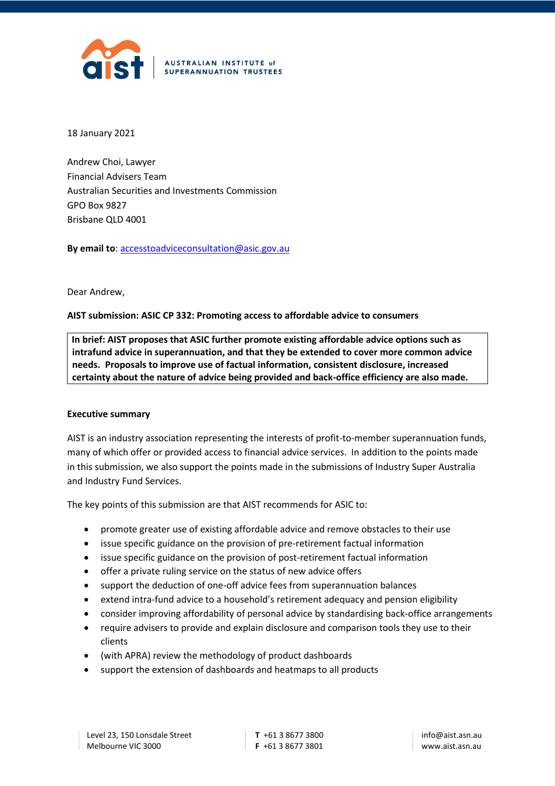

18 January 2021

Andrew Choi, Lawyer Financial Advisers Team Australian Securities and Investments Commission GPO Box 9827 Brisbane QLD 4001

**By email to**: [accesstoadviceconsultation@asic.gov.au](mailto:accesstoadviceconsultation@asic.gov.au)

#### Dear Andrew,

### **AIST submission: ASIC CP 332: Promoting access to affordable advice to consumers**

 **In brief: AIST proposes that ASIC further promote existing affordable advice options such as intrafund advice in superannuation, and that they be extended to cover more common advice needs. Proposals to improve use of factual information, consistent disclosure, increased certainty about the nature of advice being provided and back-office efficiency are also made.** 

#### **Executive summary**

AIST is an industry association representing the interests of profit-to-member superannuation funds, many of which offer or provided access to financial advice services. In addition to the points made in this submission, we also support the points made in the submissions of Industry Super Australia and Industry Fund Services.

The key points of this submission are that AIST recommends for ASIC to:

- promote greater use of existing affordable advice and remove obstacles to their use
- issue specific guidance on the provision of pre-retirement factual information
- issue specific guidance on the provision of post-retirement factual information
- offer a private ruling service on the status of new advice offers
- support the deduction of one-off advice fees from superannuation balances
- extend intra-fund advice to a household's retirement adequacy and pension eligibility
- consider improving affordability of personal advice by standardising back-office arrangements
- require advisers to provide and explain disclosure and comparison tools they use to their clients
- (with APRA) review the methodology of product dashboards
- support the extension of dashboards and heatmaps to all products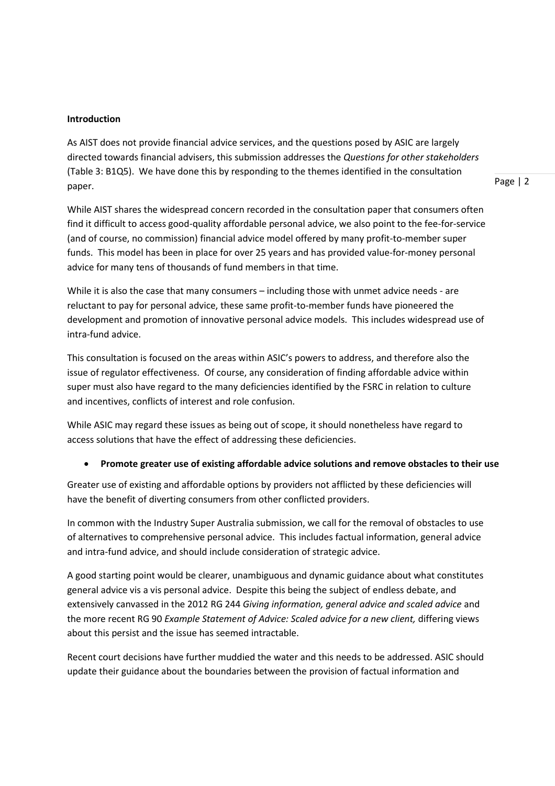#### **Introduction**

As AIST does not provide financial advice services, and the questions posed by ASIC are largely directed towards financial advisers, this submission addresses the *Questions for other stakeholders* (Table 3: B1Q5). We have done this by responding to the themes identified in the consultation paper.

Page | 2

While AIST shares the widespread concern recorded in the consultation paper that consumers often find it difficult to access good-quality affordable personal advice, we also point to the fee-for-service (and of course, no commission) financial advice model offered by many profit-to-member super funds. This model has been in place for over 25 years and has provided value-for-money personal advice for many tens of thousands of fund members in that time.

While it is also the case that many consumers – including those with unmet advice needs - are reluctant to pay for personal advice, these same profit-to-member funds have pioneered the development and promotion of innovative personal advice models. This includes widespread use of intra-fund advice.

This consultation is focused on the areas within ASIC's powers to address, and therefore also the issue of regulator effectiveness. Of course, any consideration of finding affordable advice within super must also have regard to the many deficiencies identified by the FSRC in relation to culture and incentives, conflicts of interest and role confusion.

While ASIC may regard these issues as being out of scope, it should nonetheless have regard to access solutions that have the effect of addressing these deficiencies.

### • **Promote greater use of existing affordable advice solutions and remove obstacles to their use**

Greater use of existing and affordable options by providers not afflicted by these deficiencies will have the benefit of diverting consumers from other conflicted providers.

In common with the Industry Super Australia submission, we call for the removal of obstacles to use of alternatives to comprehensive personal advice. This includes factual information, general advice and intra-fund advice, and should include consideration of strategic advice.

A good starting point would be clearer, unambiguous and dynamic guidance about what constitutes general advice vis a vis personal advice. Despite this being the subject of endless debate, and extensively canvassed in the 2012 RG 244 *Giving information, general advice and scaled advice* and the more recent RG 90 *Example Statement of Advice: Scaled advice for a new client,* differing views about this persist and the issue has seemed intractable.

Recent court decisions have further muddied the water and this needs to be addressed. ASIC should update their guidance about the boundaries between the provision of factual information and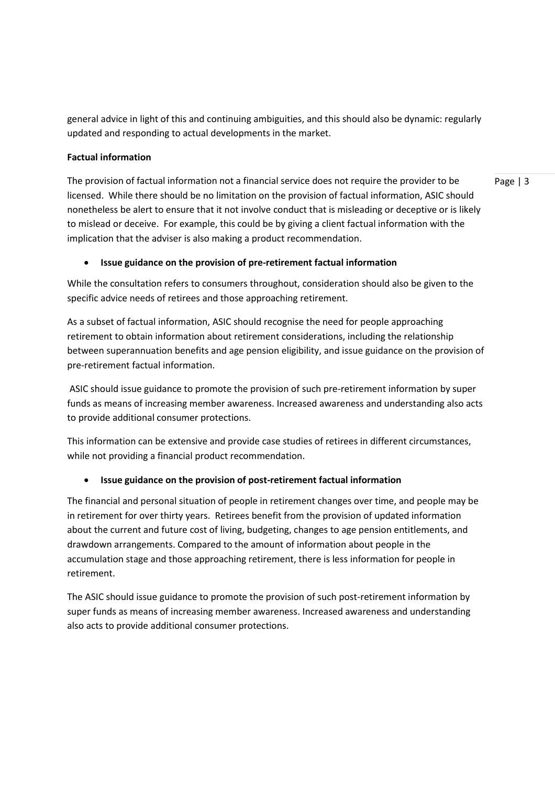general advice in light of this and continuing ambiguities, and this should also be dynamic: regularly updated and responding to actual developments in the market.

## **Factual information**

The provision of factual information not a financial service does not require the provider to be licensed. While there should be no limitation on the provision of factual information, ASIC should nonetheless be alert to ensure that it not involve conduct that is misleading or deceptive or is likely to mislead or deceive. For example, this could be by giving a client factual information with the implication that the adviser is also making a product recommendation.

Page | 3

### • **Issue guidance on the provision of pre-retirement factual information**

While the consultation refers to consumers throughout, consideration should also be given to the specific advice needs of retirees and those approaching retirement.

As a subset of factual information, ASIC should recognise the need for people approaching retirement to obtain information about retirement considerations, including the relationship between superannuation benefits and age pension eligibility, and issue guidance on the provision of pre-retirement factual information.

ASIC should issue guidance to promote the provision of such pre-retirement information by super funds as means of increasing member awareness. Increased awareness and understanding also acts to provide additional consumer protections.

This information can be extensive and provide case studies of retirees in different circumstances, while not providing a financial product recommendation.

# • **Issue guidance on the provision of post-retirement factual information**

The financial and personal situation of people in retirement changes over time, and people may be in retirement for over thirty years. Retirees benefit from the provision of updated information about the current and future cost of living, budgeting, changes to age pension entitlements, and drawdown arrangements. Compared to the amount of information about people in the accumulation stage and those approaching retirement, there is less information for people in retirement.

The ASIC should issue guidance to promote the provision of such post-retirement information by super funds as means of increasing member awareness. Increased awareness and understanding also acts to provide additional consumer protections.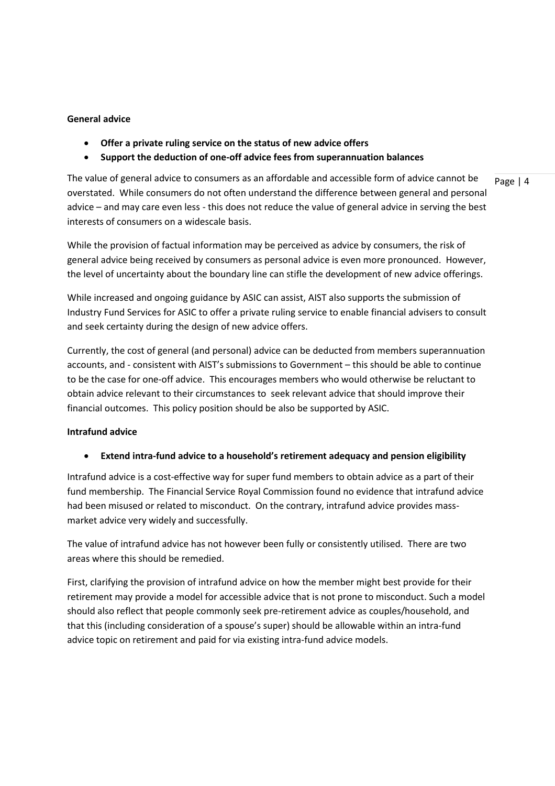### **General advice**

- **Offer a private ruling service on the status of new advice offers**
- **Support the deduction of one-off advice fees from superannuation balances**

The value of general advice to consumers as an affordable and accessible form of advice cannot be overstated. While consumers do not often understand the difference between general and personal advice – and may care even less - this does not reduce the value of general advice in serving the best interests of consumers on a widescale basis.

While the provision of factual information may be perceived as advice by consumers, the risk of general advice being received by consumers as personal advice is even more pronounced. However, the level of uncertainty about the boundary line can stifle the development of new advice offerings.

While increased and ongoing guidance by ASIC can assist, AIST also supports the submission of Industry Fund Services for ASIC to offer a private ruling service to enable financial advisers to consult and seek certainty during the design of new advice offers.

Currently, the cost of general (and personal) advice can be deducted from members superannuation accounts, and - consistent with AIST's submissions to Government – this should be able to continue to be the case for one-off advice. This encourages members who would otherwise be reluctant to obtain advice relevant to their circumstances to seek relevant advice that should improve their financial outcomes. This policy position should be also be supported by ASIC.

# **Intrafund advice**

### • **Extend intra-fund advice to a household's retirement adequacy and pension eligibility**

Intrafund advice is a cost-effective way for super fund members to obtain advice as a part of their fund membership. The Financial Service Royal Commission found no evidence that intrafund advice had been misused or related to misconduct. On the contrary, intrafund advice provides massmarket advice very widely and successfully.

The value of intrafund advice has not however been fully or consistently utilised. There are two areas where this should be remedied.

First, clarifying the provision of intrafund advice on how the member might best provide for their retirement may provide a model for accessible advice that is not prone to misconduct. Such a model should also reflect that people commonly seek pre-retirement advice as couples/household, and that this (including consideration of a spouse's super) should be allowable within an intra-fund advice topic on retirement and paid for via existing intra-fund advice models.

Page | 4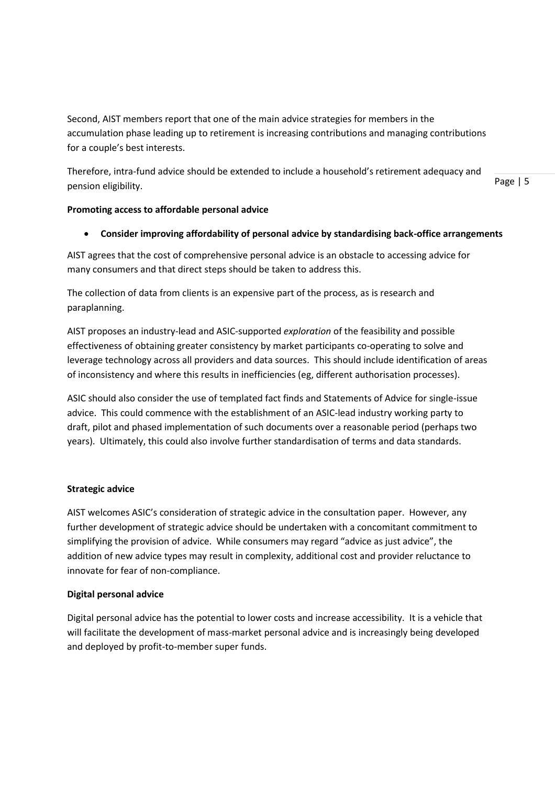Second, AIST members report that one of the main advice strategies for members in the accumulation phase leading up to retirement is increasing contributions and managing contributions for a couple's best interests.

Therefore, intra-fund advice should be extended to include a household's retirement adequacy and pension eligibility.

Page | 5

## **Promoting access to affordable personal advice**

### • **Consider improving affordability of personal advice by standardising back-office arrangements**

AIST agrees that the cost of comprehensive personal advice is an obstacle to accessing advice for many consumers and that direct steps should be taken to address this.

The collection of data from clients is an expensive part of the process, as is research and paraplanning.

AIST proposes an industry-lead and ASIC-supported *exploration* of the feasibility and possible effectiveness of obtaining greater consistency by market participants co-operating to solve and leverage technology across all providers and data sources. This should include identification of areas of inconsistency and where this results in inefficiencies (eg, different authorisation processes).

ASIC should also consider the use of templated fact finds and Statements of Advice for single-issue advice. This could commence with the establishment of an ASIC-lead industry working party to draft, pilot and phased implementation of such documents over a reasonable period (perhaps two years). Ultimately, this could also involve further standardisation of terms and data standards.

### **Strategic advice**

AIST welcomes ASIC's consideration of strategic advice in the consultation paper. However, any further development of strategic advice should be undertaken with a concomitant commitment to simplifying the provision of advice. While consumers may regard "advice as just advice", the addition of new advice types may result in complexity, additional cost and provider reluctance to innovate for fear of non-compliance.

### **Digital personal advice**

Digital personal advice has the potential to lower costs and increase accessibility. It is a vehicle that will facilitate the development of mass-market personal advice and is increasingly being developed and deployed by profit-to-member super funds.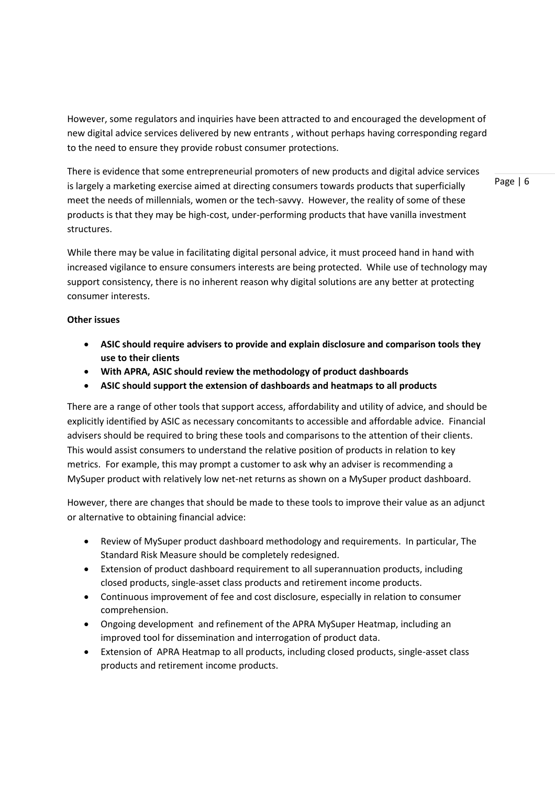However, some regulators and inquiries have been attracted to and encouraged the development of new digital advice services delivered by new entrants , without perhaps having corresponding regard to the need to ensure they provide robust consumer protections.

There is evidence that some entrepreneurial promoters of new products and digital advice services is largely a marketing exercise aimed at directing consumers towards products that superficially meet the needs of millennials, women or the tech-savvy. However, the reality of some of these products is that they may be high-cost, under-performing products that have vanilla investment structures.

While there may be value in facilitating digital personal advice, it must proceed hand in hand with increased vigilance to ensure consumers interests are being protected. While use of technology may support consistency, there is no inherent reason why digital solutions are any better at protecting consumer interests.

### **Other issues**

- **ASIC should require advisers to provide and explain disclosure and comparison tools they use to their clients**
- **With APRA, ASIC should review the methodology of product dashboards**
- **ASIC should support the extension of dashboards and heatmaps to all products**

There are a range of other tools that support access, affordability and utility of advice, and should be explicitly identified by ASIC as necessary concomitants to accessible and affordable advice. Financial advisers should be required to bring these tools and comparisons to the attention of their clients. This would assist consumers to understand the relative position of products in relation to key metrics. For example, this may prompt a customer to ask why an adviser is recommending a MySuper product with relatively low net-net returns as shown on a MySuper product dashboard.

However, there are changes that should be made to these tools to improve their value as an adjunct or alternative to obtaining financial advice:

- Review of MySuper product dashboard methodology and requirements. In particular, The Standard Risk Measure should be completely redesigned.
- Extension of product dashboard requirement to all superannuation products, including closed products, single-asset class products and retirement income products.
- Continuous improvement of fee and cost disclosure, especially in relation to consumer comprehension.
- Ongoing development and refinement of the APRA MySuper Heatmap, including an improved tool for dissemination and interrogation of product data.
- Extension of APRA Heatmap to all products, including closed products, single-asset class products and retirement income products.

Page | 6